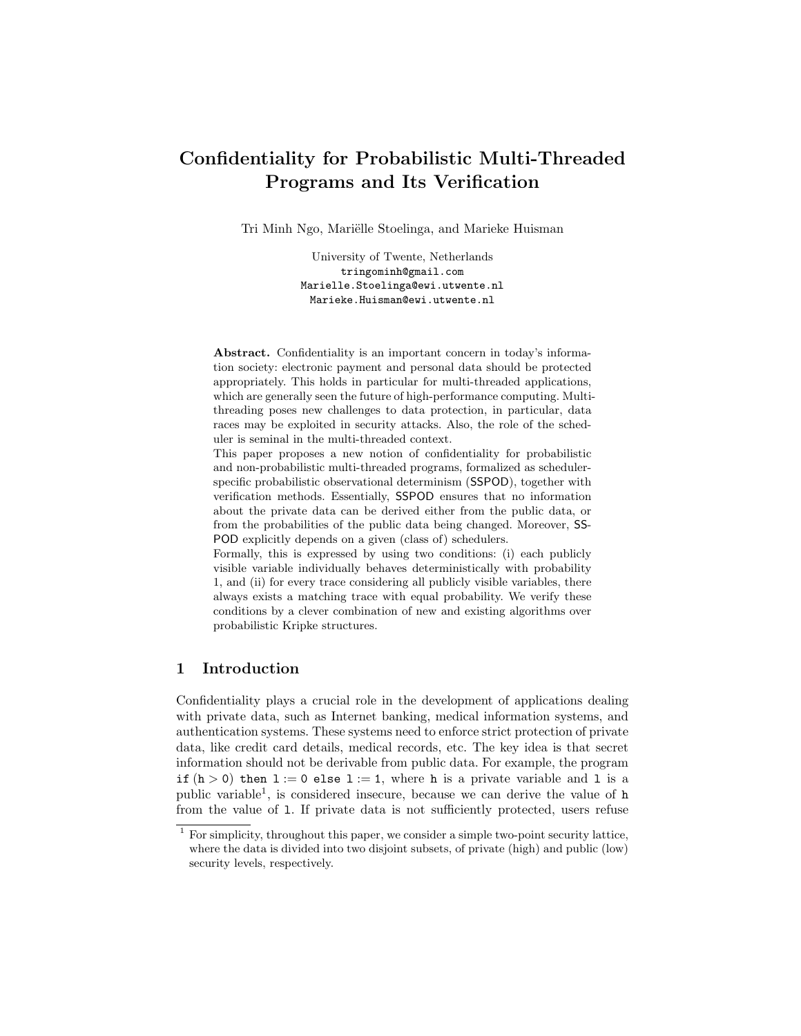# Confidentiality for Probabilistic Multi-Threaded Programs and Its Verification

Tri Minh Ngo, Mariëlle Stoelinga, and Marieke Huisman

University of Twente, Netherlands tringominh@gmail.com Marielle.Stoelinga@ewi.utwente.nl Marieke.Huisman@ewi.utwente.nl

Abstract. Confidentiality is an important concern in today's information society: electronic payment and personal data should be protected appropriately. This holds in particular for multi-threaded applications, which are generally seen the future of high-performance computing. Multithreading poses new challenges to data protection, in particular, data races may be exploited in security attacks. Also, the role of the scheduler is seminal in the multi-threaded context.

This paper proposes a new notion of confidentiality for probabilistic and non-probabilistic multi-threaded programs, formalized as schedulerspecific probabilistic observational determinism (SSPOD), together with verification methods. Essentially, SSPOD ensures that no information about the private data can be derived either from the public data, or from the probabilities of the public data being changed. Moreover, SS-POD explicitly depends on a given (class of) schedulers.

Formally, this is expressed by using two conditions: (i) each publicly visible variable individually behaves deterministically with probability 1, and (ii) for every trace considering all publicly visible variables, there always exists a matching trace with equal probability. We verify these conditions by a clever combination of new and existing algorithms over probabilistic Kripke structures.

# 1 Introduction

Confidentiality plays a crucial role in the development of applications dealing with private data, such as Internet banking, medical information systems, and authentication systems. These systems need to enforce strict protection of private data, like credit card details, medical records, etc. The key idea is that secret information should not be derivable from public data. For example, the program if  $(h > 0)$  then  $l := 0$  else  $l := 1$ , where h is a private variable and 1 is a public variable<sup>1</sup>, is considered insecure, because we can derive the value of h from the value of l. If private data is not sufficiently protected, users refuse

 $1$  For simplicity, throughout this paper, we consider a simple two-point security lattice, where the data is divided into two disjoint subsets, of private (high) and public (low) security levels, respectively.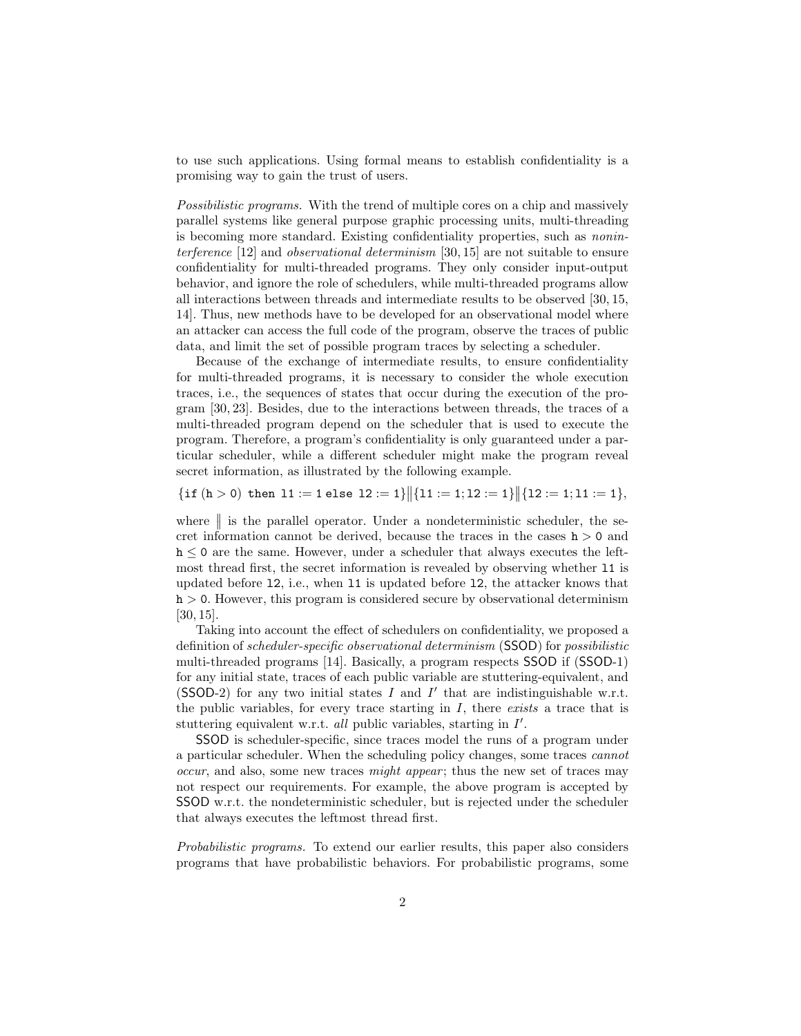to use such applications. Using formal means to establish confidentiality is a promising way to gain the trust of users.

Possibilistic programs. With the trend of multiple cores on a chip and massively parallel systems like general purpose graphic processing units, multi-threading is becoming more standard. Existing confidentiality properties, such as noninterference [12] and observational determinism [30, 15] are not suitable to ensure confidentiality for multi-threaded programs. They only consider input-output behavior, and ignore the role of schedulers, while multi-threaded programs allow all interactions between threads and intermediate results to be observed [30, 15, 14]. Thus, new methods have to be developed for an observational model where an attacker can access the full code of the program, observe the traces of public data, and limit the set of possible program traces by selecting a scheduler.

Because of the exchange of intermediate results, to ensure confidentiality for multi-threaded programs, it is necessary to consider the whole execution traces, i.e., the sequences of states that occur during the execution of the program [30, 23]. Besides, due to the interactions between threads, the traces of a multi-threaded program depend on the scheduler that is used to execute the program. Therefore, a program's confidentiality is only guaranteed under a particular scheduler, while a different scheduler might make the program reveal secret information, as illustrated by the following example.

$$
\{ \text{if } (h > 0) \text{ then } 11 := 1 \text{ else } 12 := 1 \} \big\| \{ 11 := 1; 12 := 1 \} \big\| \{ 12 := 1; 11 := 1 \},
$$

where  $\parallel$  is the parallel operator. Under a nondeterministic scheduler, the secret information cannot be derived, because the traces in the cases  $h > 0$  and  $h \leq 0$  are the same. However, under a scheduler that always executes the leftmost thread first, the secret information is revealed by observing whether l1 is updated before l2, i.e., when l1 is updated before l2, the attacker knows that  $h > 0$ . However, this program is considered secure by observational determinism [30, 15].

Taking into account the effect of schedulers on confidentiality, we proposed a definition of scheduler-specific observational determinism (SSOD) for possibilistic multi-threaded programs [14]. Basically, a program respects SSOD if (SSOD-1) for any initial state, traces of each public variable are stuttering-equivalent, and (SSOD-2) for any two initial states  $I$  and  $I'$  that are indistinguishable w.r.t. the public variables, for every trace starting in  $I$ , there exists a trace that is stuttering equivalent w.r.t. all public variables, starting in  $I'$ .

SSOD is scheduler-specific, since traces model the runs of a program under a particular scheduler. When the scheduling policy changes, some traces cannot occur, and also, some new traces might appear; thus the new set of traces may not respect our requirements. For example, the above program is accepted by SSOD w.r.t. the nondeterministic scheduler, but is rejected under the scheduler that always executes the leftmost thread first.

Probabilistic programs. To extend our earlier results, this paper also considers programs that have probabilistic behaviors. For probabilistic programs, some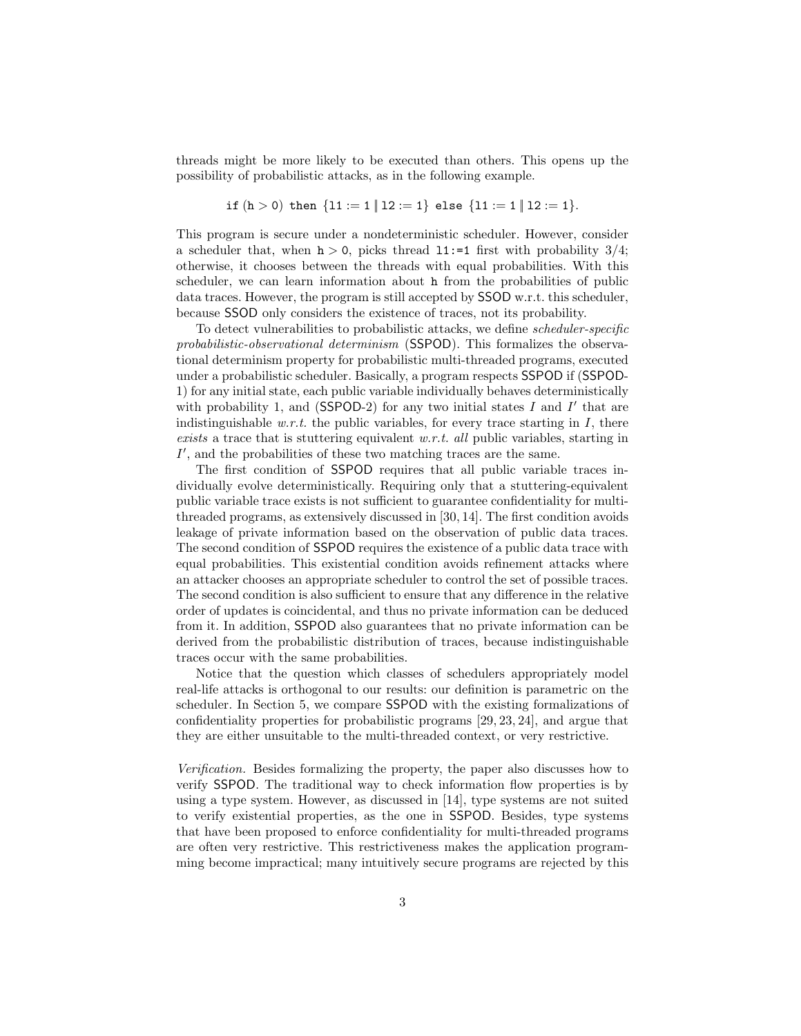threads might be more likely to be executed than others. This opens up the possibility of probabilistic attacks, as in the following example.

$$
\text{if } (h > 0) \text{ then } \{11 := 1 \mid 12 := 1\} \text{ else } \{11 := 1 \mid 12 := 1\}.
$$

This program is secure under a nondeterministic scheduler. However, consider a scheduler that, when  $h > 0$ , picks thread 11:=1 first with probability  $3/4$ ; otherwise, it chooses between the threads with equal probabilities. With this scheduler, we can learn information about h from the probabilities of public data traces. However, the program is still accepted by SSOD w.r.t. this scheduler, because SSOD only considers the existence of traces, not its probability.

To detect vulnerabilities to probabilistic attacks, we define scheduler-specific probabilistic-observational determinism (SSPOD). This formalizes the observational determinism property for probabilistic multi-threaded programs, executed under a probabilistic scheduler. Basically, a program respects SSPOD if (SSPOD-1) for any initial state, each public variable individually behaves deterministically with probability 1, and (SSPOD-2) for any two initial states  $I$  and  $I'$  that are indistinguishable w.r.t. the public variables, for every trace starting in  $I$ , there exists a trace that is stuttering equivalent w.r.t. all public variables, starting in  $I'$ , and the probabilities of these two matching traces are the same.

The first condition of SSPOD requires that all public variable traces individually evolve deterministically. Requiring only that a stuttering-equivalent public variable trace exists is not sufficient to guarantee confidentiality for multithreaded programs, as extensively discussed in [30, 14]. The first condition avoids leakage of private information based on the observation of public data traces. The second condition of SSPOD requires the existence of a public data trace with equal probabilities. This existential condition avoids refinement attacks where an attacker chooses an appropriate scheduler to control the set of possible traces. The second condition is also sufficient to ensure that any difference in the relative order of updates is coincidental, and thus no private information can be deduced from it. In addition, SSPOD also guarantees that no private information can be derived from the probabilistic distribution of traces, because indistinguishable traces occur with the same probabilities.

Notice that the question which classes of schedulers appropriately model real-life attacks is orthogonal to our results: our definition is parametric on the scheduler. In Section 5, we compare SSPOD with the existing formalizations of confidentiality properties for probabilistic programs [29, 23, 24], and argue that they are either unsuitable to the multi-threaded context, or very restrictive.

Verification. Besides formalizing the property, the paper also discusses how to verify SSPOD. The traditional way to check information flow properties is by using a type system. However, as discussed in [14], type systems are not suited to verify existential properties, as the one in SSPOD. Besides, type systems that have been proposed to enforce confidentiality for multi-threaded programs are often very restrictive. This restrictiveness makes the application programming become impractical; many intuitively secure programs are rejected by this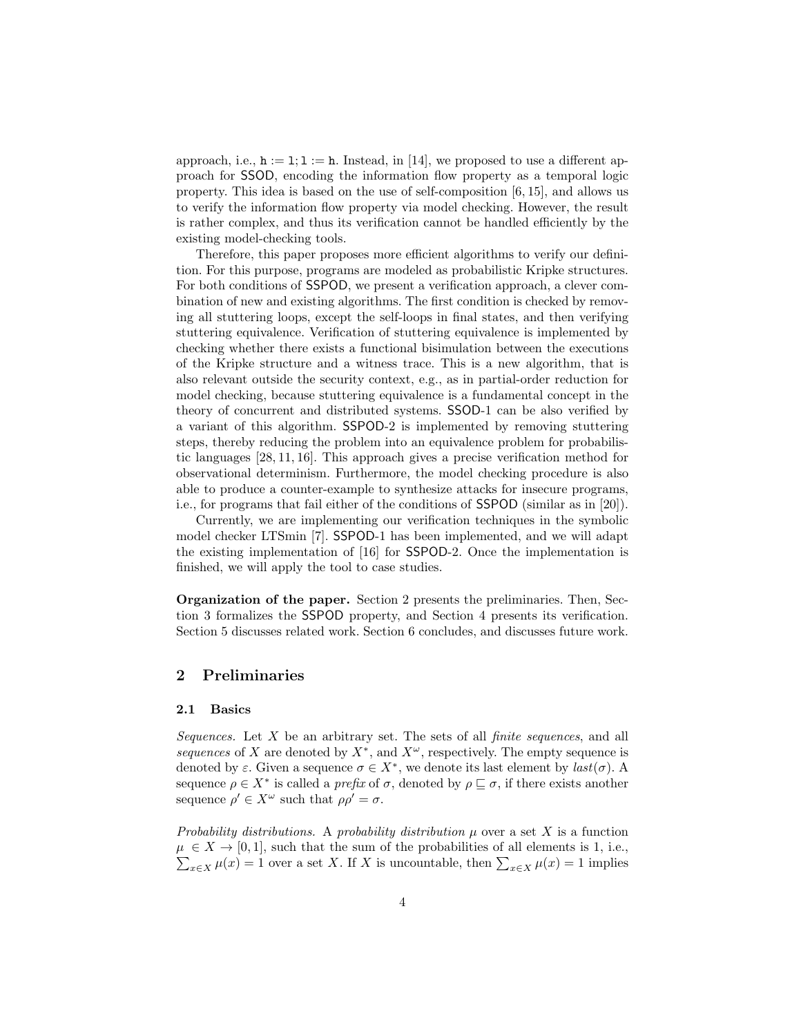approach, i.e.,  $h := 1; 1 := h$ . Instead, in [14], we proposed to use a different approach for SSOD, encoding the information flow property as a temporal logic property. This idea is based on the use of self-composition [6, 15], and allows us to verify the information flow property via model checking. However, the result is rather complex, and thus its verification cannot be handled efficiently by the existing model-checking tools.

Therefore, this paper proposes more efficient algorithms to verify our definition. For this purpose, programs are modeled as probabilistic Kripke structures. For both conditions of SSPOD, we present a verification approach, a clever combination of new and existing algorithms. The first condition is checked by removing all stuttering loops, except the self-loops in final states, and then verifying stuttering equivalence. Verification of stuttering equivalence is implemented by checking whether there exists a functional bisimulation between the executions of the Kripke structure and a witness trace. This is a new algorithm, that is also relevant outside the security context, e.g., as in partial-order reduction for model checking, because stuttering equivalence is a fundamental concept in the theory of concurrent and distributed systems. SSOD-1 can be also verified by a variant of this algorithm. SSPOD-2 is implemented by removing stuttering steps, thereby reducing the problem into an equivalence problem for probabilistic languages [28, 11, 16]. This approach gives a precise verification method for observational determinism. Furthermore, the model checking procedure is also able to produce a counter-example to synthesize attacks for insecure programs, i.e., for programs that fail either of the conditions of SSPOD (similar as in [20]).

Currently, we are implementing our verification techniques in the symbolic model checker LTSmin [7]. SSPOD-1 has been implemented, and we will adapt the existing implementation of [16] for SSPOD-2. Once the implementation is finished, we will apply the tool to case studies.

Organization of the paper. Section 2 presents the preliminaries. Then, Section 3 formalizes the SSPOD property, and Section 4 presents its verification. Section 5 discusses related work. Section 6 concludes, and discusses future work.

## 2 Preliminaries

#### 2.1 Basics

Sequences. Let X be an arbitrary set. The sets of all finite sequences, and all sequences of X are denoted by  $X^*$ , and  $X^{\omega}$ , respectively. The empty sequence is denoted by  $\varepsilon$ . Given a sequence  $\sigma \in X^*$ , we denote its last element by  $last(\sigma)$ . A sequence  $\rho \in X^*$  is called a *prefix* of  $\sigma$ , denoted by  $\rho \sqsubseteq \sigma$ , if there exists another sequence  $\rho' \in X^{\omega}$  such that  $\rho \rho' = \sigma$ .

Probability distributions. A probability distribution  $\mu$  over a set X is a function  $\sum_{x \in X} \mu(x) = 1$  over a set X. If X is uncountable, then  $\sum_{x \in X} \mu(x) = 1$  implies  $\mu \in X \to [0, 1]$ , such that the sum of the probabilities of all elements is 1, i.e.,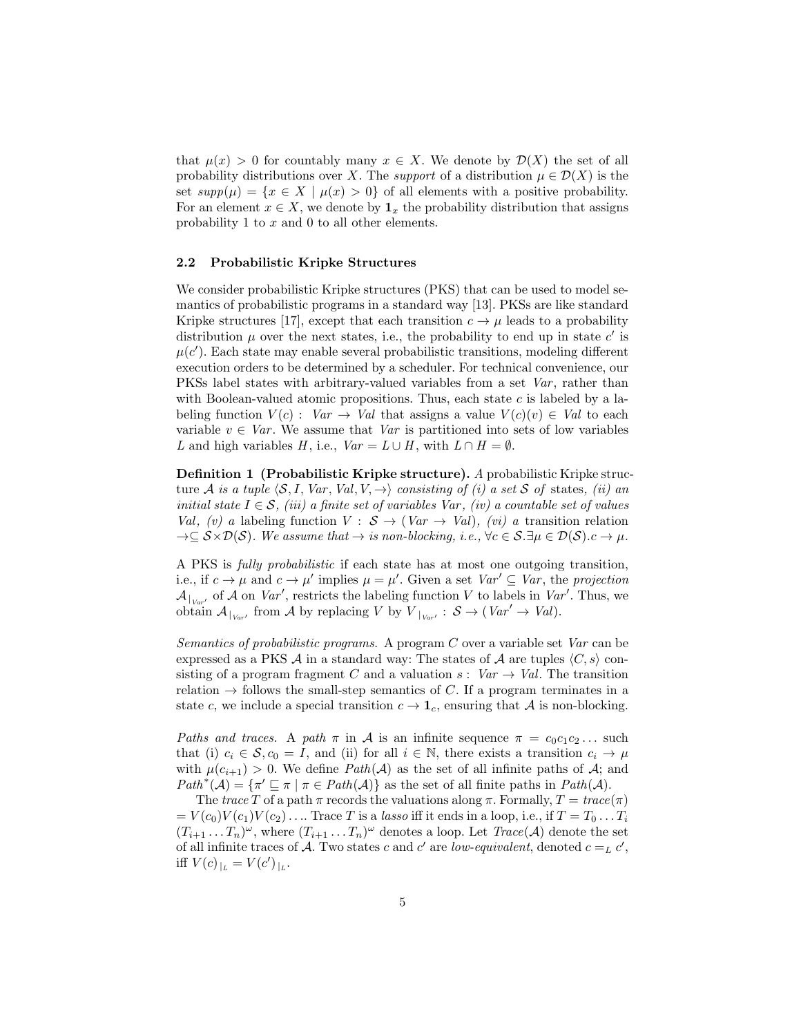that  $\mu(x) > 0$  for countably many  $x \in X$ . We denote by  $\mathcal{D}(X)$  the set of all probability distributions over X. The support of a distribution  $\mu \in \mathcal{D}(X)$  is the set  $supp(\mu) = \{x \in X \mid \mu(x) > 0\}$  of all elements with a positive probability. For an element  $x \in X$ , we denote by  $\mathbf{1}_x$  the probability distribution that assigns probability 1 to x and 0 to all other elements.

#### 2.2 Probabilistic Kripke Structures

We consider probabilistic Kripke structures (PKS) that can be used to model semantics of probabilistic programs in a standard way [13]. PKSs are like standard Kripke structures [17], except that each transition  $c \to \mu$  leads to a probability distribution  $\mu$  over the next states, i.e., the probability to end up in state  $c'$  is  $\mu(c')$ . Each state may enable several probabilistic transitions, modeling different execution orders to be determined by a scheduler. For technical convenience, our PKSs label states with arbitrary-valued variables from a set *Var*, rather than with Boolean-valued atomic propositions. Thus, each state  $c$  is labeled by a labeling function  $V(c)$ :  $Var \rightarrow Val$  that assigns a value  $V(c)(v) \in Val$  to each variable  $v \in Var$ . We assume that Var is partitioned into sets of low variables L and high variables H, i.e.,  $Var = L \cup H$ , with  $L \cap H = \emptyset$ .

Definition 1 (Probabilistic Kripke structure). A probabilistic Kripke structure A is a tuple  $\langle S, I, Var, Val, V, \rightarrow \rangle$  consisting of (i) a set S of states, (ii) an initial state  $I \in \mathcal{S}$ , (iii) a finite set of variables Var, (iv) a countable set of values Val, (v) a labeling function  $V : \mathcal{S} \to (Var \to Val)$ , (vi) a transition relation  $\rightarrow \subseteq \mathcal{S} \times \mathcal{D}(\mathcal{S})$ . We assume that  $\rightarrow$  is non-blocking, i.e.,  $\forall c \in \mathcal{S}.\exists \mu \in \mathcal{D}(\mathcal{S})$ . $c \rightarrow \mu$ .

A PKS is fully probabilistic if each state has at most one outgoing transition, i.e., if  $c \to \mu$  and  $c \to \mu'$  implies  $\mu = \mu'$ . Given a set  $Var' \subseteq Var$ , the projection  $\mathcal{A}_{|_{Var'}}$  of  $\mathcal{A}$  on Var', restricts the labeling function V to labels in Var'. Thus, we obtain  $\mathcal{A}|_{Var'}$  from  $\mathcal{A}$  by replacing  $V$  by  $V|_{Var'}$ :  $\mathcal{S} \to (Var' \to Val)$ .

Semantics of probabilistic programs. A program  $C$  over a variable set Var can be expressed as a PKS  $\mathcal A$  in a standard way: The states of  $\mathcal A$  are tuples  $\langle C, s \rangle$  consisting of a program fragment C and a valuation s:  $Var \rightarrow Val$ . The transition relation  $\rightarrow$  follows the small-step semantics of C. If a program terminates in a state c, we include a special transition  $c \to \mathbf{1}_c$ , ensuring that A is non-blocking.

Paths and traces. A path  $\pi$  in A is an infinite sequence  $\pi = c_0c_1c_2...$  such that (i)  $c_i \in \mathcal{S}, c_0 = I$ , and (ii) for all  $i \in \mathbb{N}$ , there exists a transition  $c_i \to \mu$ with  $\mu(c_{i+1}) > 0$ . We define  $Path(\mathcal{A})$  as the set of all infinite paths of  $\mathcal{A}$ ; and  $Path^*(A) = {\pi' \sqsubseteq \pi \mid \pi \in Path(A)}$  as the set of all finite paths in  $Path(A)$ .

The trace T of a path  $\pi$  records the valuations along  $\pi$ . Formally,  $T = trace(\pi)$  $= V(c_0)V(c_1)V(c_2)\dots$  Trace T is a lasso iff it ends in a loop, i.e., if  $T = T_0 \dots T_i$  $(T_{i+1} \ldots T_n)^\omega$ , where  $(T_{i+1} \ldots T_n)^\omega$  denotes a loop. Let  $Trace(\mathcal{A})$  denote the set of all infinite traces of A. Two states c and c' are low-equivalent, denoted  $c =_L c'$ , iff  $V(c)_{|_L} = V(c')_{|_L}$ .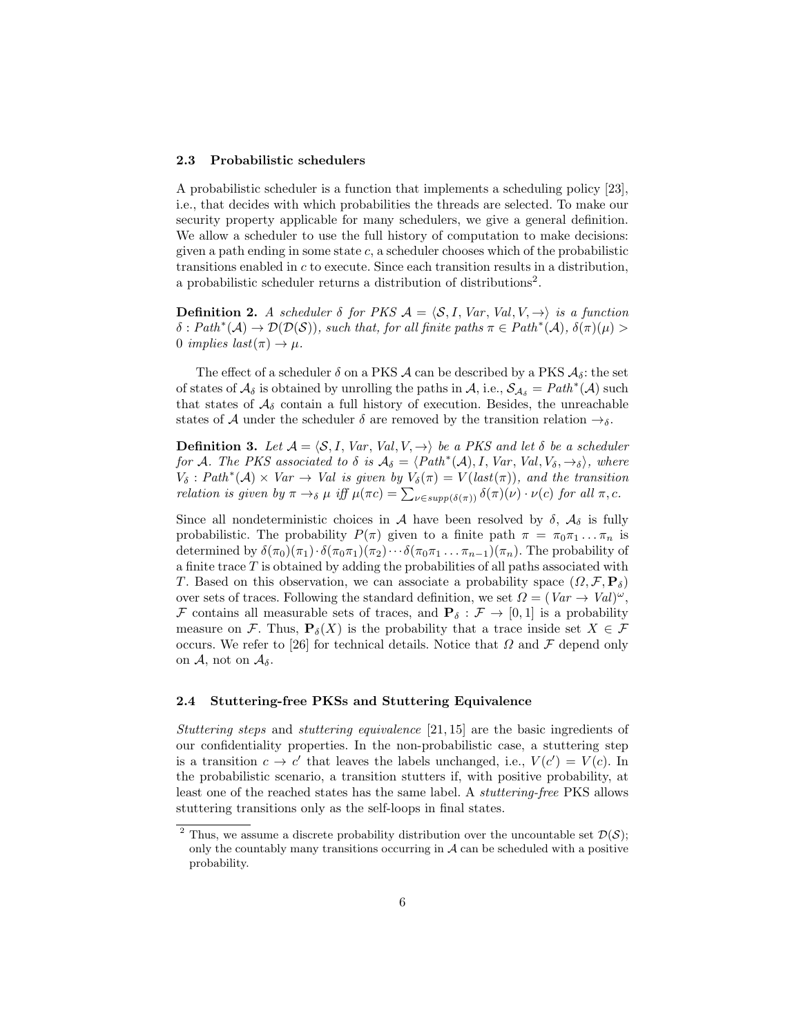#### 2.3 Probabilistic schedulers

A probabilistic scheduler is a function that implements a scheduling policy [23], i.e., that decides with which probabilities the threads are selected. To make our security property applicable for many schedulers, we give a general definition. We allow a scheduler to use the full history of computation to make decisions: given a path ending in some state  $c$ , a scheduler chooses which of the probabilistic transitions enabled in c to execute. Since each transition results in a distribution, a probabilistic scheduler returns a distribution of distributions<sup>2</sup>.

**Definition 2.** A scheduler  $\delta$  for PKS  $\mathcal{A} = \langle \mathcal{S}, I, Var, Val, V, \rightarrow \rangle$  is a function  $\delta$ :  $Path^*(\mathcal{A}) \to \mathcal{D}(\mathcal{D}(\mathcal{S}))$ , such that, for all finite paths  $\pi \in Path^*(\mathcal{A}), \delta(\pi)(\mu) >$ 0 implies last $(\pi) \rightarrow \mu$ .

The effect of a scheduler  $\delta$  on a PKS  $\mathcal A$  can be described by a PKS  $\mathcal A_{\delta}$ : the set of states of  $\mathcal{A}_{\delta}$  is obtained by unrolling the paths in  $\mathcal{A}$ , i.e.,  $\mathcal{S}_{\mathcal{A}_{\delta}} = \text{Path}^*(\mathcal{A})$  such that states of  $\mathcal{A}_{\delta}$  contain a full history of execution. Besides, the unreachable states of A under the scheduler  $\delta$  are removed by the transition relation  $\rightarrow_{\delta}$ .

**Definition 3.** Let  $A = \langle S, I, Var, Val, V, \rightarrow \rangle$  be a PKS and let  $\delta$  be a scheduler for A. The PKS associated to  $\delta$  is  $A_{\delta} = \langle Path^*(A), I, Var, Val, V_{\delta}, \rightarrow_{\delta} \rangle$ , where  $V_{\delta}$ : Path<sup>\*</sup>(A) × Var → Val is given by  $V_{\delta}(\pi) = V(last(\pi))$ , and the transition relation is given by  $\pi \to_{\delta} \mu$  iff  $\mu(\pi c) = \sum_{\nu \in supp(\delta(\pi))} \delta(\pi)(\nu) \cdot \nu(c)$  for all  $\pi, c$ .

Since all nondeterministic choices in A have been resolved by  $\delta$ ,  $A_{\delta}$  is fully probabilistic. The probability  $P(\pi)$  given to a finite path  $\pi = \pi_0 \pi_1 \dots \pi_n$  is determined by  $\delta(\pi_0)(\pi_1)\cdot \delta(\pi_0\pi_1)(\pi_2)\cdots \delta(\pi_0\pi_1 \ldots \pi_{n-1})(\pi_n)$ . The probability of a finite trace T is obtained by adding the probabilities of all paths associated with T. Based on this observation, we can associate a probability space  $(\Omega, \mathcal{F}, \mathbf{P}_\delta)$ over sets of traces. Following the standard definition, we set  $\Omega = (Var \rightarrow Val)^{\omega}$ , F contains all measurable sets of traces, and  $P_{\delta} : \mathcal{F} \to [0,1]$  is a probability measure on F. Thus,  $P_{\delta}(X)$  is the probability that a trace inside set  $X \in \mathcal{F}$ occurs. We refer to [26] for technical details. Notice that  $\Omega$  and  $\mathcal F$  depend only on  $\mathcal{A}$ , not on  $\mathcal{A}_{\delta}$ .

### 2.4 Stuttering-free PKSs and Stuttering Equivalence

Stuttering steps and stuttering equivalence [21, 15] are the basic ingredients of our confidentiality properties. In the non-probabilistic case, a stuttering step is a transition  $c \to c'$  that leaves the labels unchanged, i.e.,  $V(c') = V(c)$ . In the probabilistic scenario, a transition stutters if, with positive probability, at least one of the reached states has the same label. A stuttering-free PKS allows stuttering transitions only as the self-loops in final states.

Thus, we assume a discrete probability distribution over the uncountable set  $\mathcal{D}(\mathcal{S});$ only the countably many transitions occurring in  $A$  can be scheduled with a positive probability.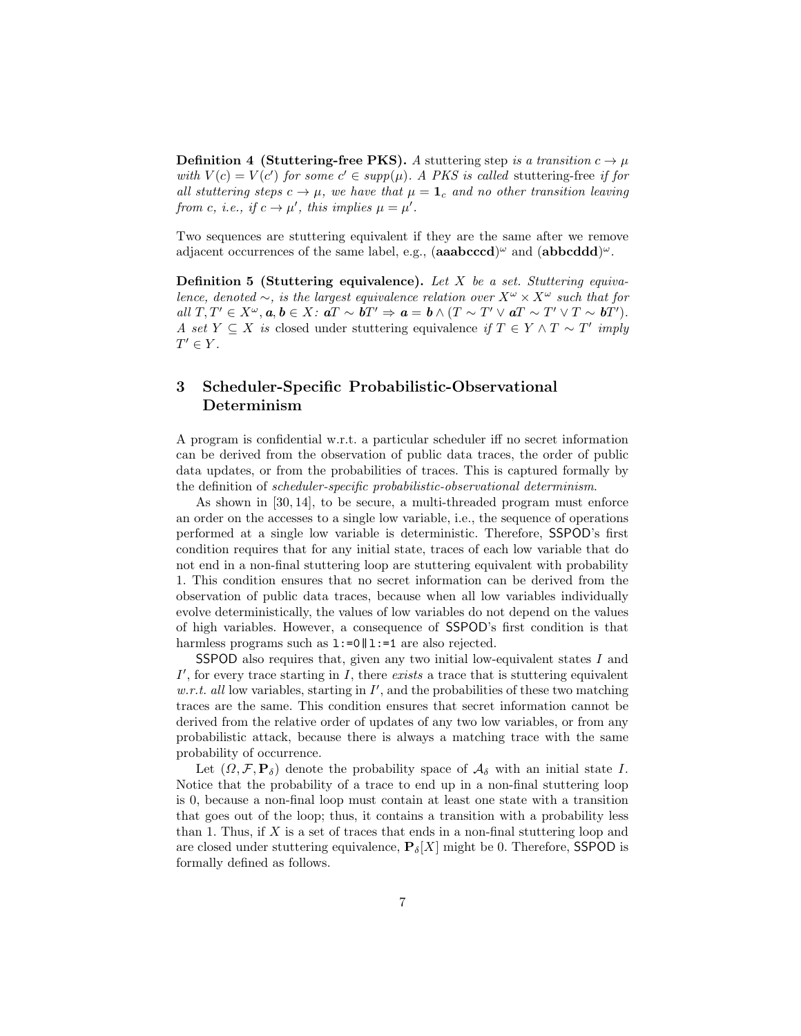**Definition 4 (Stuttering-free PKS).** A stuttering step is a transition  $c \rightarrow \mu$ with  $V(c) = V(c')$  for some  $c' \in supp(\mu)$ . A PKS is called stuttering-free if for all stuttering steps  $c \to \mu$ , we have that  $\mu = \mathbf{1}_c$  and no other transition leaving from c, i.e., if  $c \to \mu'$ , this implies  $\mu = \mu'$ .

Two sequences are stuttering equivalent if they are the same after we remove adjacent occurrences of the same label, e.g.,  $(aaabcccd)^{\omega}$  and  $(abbcddd)^{\omega}$ .

**Definition 5 (Stuttering equivalence).** Let  $X$  be a set. Stuttering equivalence, denoted  $\sim$ , is the largest equivalence relation over  $X^{\omega} \times X^{\omega}$  such that for all  $T, T' \in X^{\omega}, a, b \in X: aT \sim bT' \Rightarrow a = b \land (T \sim T' \lor aT \sim T' \lor T \sim bT').$ A set  $Y \subseteq X$  is closed under stuttering equivalence if  $T \in Y \wedge T \sim T'$  imply  $T' \in Y$ .

# 3 Scheduler-Specific Probabilistic-Observational Determinism

A program is confidential w.r.t. a particular scheduler iff no secret information can be derived from the observation of public data traces, the order of public data updates, or from the probabilities of traces. This is captured formally by the definition of scheduler-specific probabilistic-observational determinism.

As shown in [30, 14], to be secure, a multi-threaded program must enforce an order on the accesses to a single low variable, i.e., the sequence of operations performed at a single low variable is deterministic. Therefore, SSPOD's first condition requires that for any initial state, traces of each low variable that do not end in a non-final stuttering loop are stuttering equivalent with probability 1. This condition ensures that no secret information can be derived from the observation of public data traces, because when all low variables individually evolve deterministically, the values of low variables do not depend on the values of high variables. However, a consequence of SSPOD's first condition is that harmless programs such as  $1:=0||1:=1$  are also rejected.

SSPOD also requires that, given any two initial low-equivalent states I and  $I'$ , for every trace starting in  $I$ , there exists a trace that is stuttering equivalent  $w.r.t.$  all low variables, starting in  $I'$ , and the probabilities of these two matching traces are the same. This condition ensures that secret information cannot be derived from the relative order of updates of any two low variables, or from any probabilistic attack, because there is always a matching trace with the same probability of occurrence.

Let  $(\Omega, \mathcal{F}, \mathbf{P}_{\delta})$  denote the probability space of  $\mathcal{A}_{\delta}$  with an initial state I. Notice that the probability of a trace to end up in a non-final stuttering loop is 0, because a non-final loop must contain at least one state with a transition that goes out of the loop; thus, it contains a transition with a probability less than 1. Thus, if  $X$  is a set of traces that ends in a non-final stuttering loop and are closed under stuttering equivalence,  $P_{\delta}[X]$  might be 0. Therefore, SSPOD is formally defined as follows.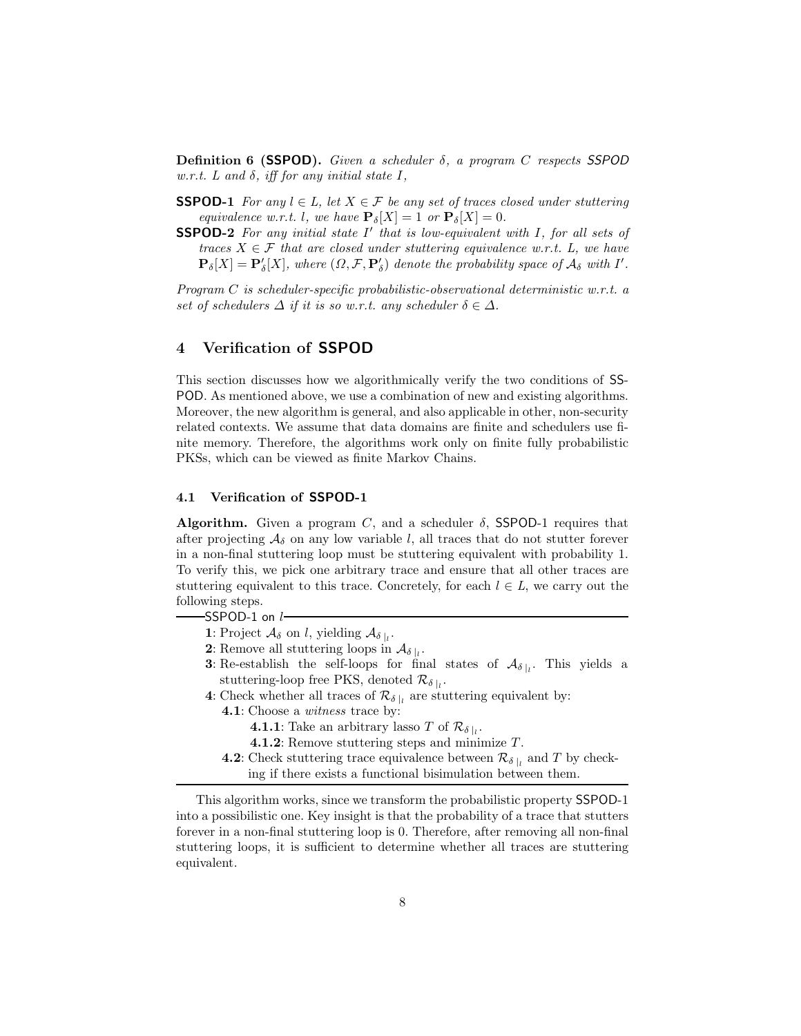**Definition 6 (SSPOD).** Given a scheduler  $\delta$ , a program C respects SSPOD w.r.t. L and  $\delta$ , iff for any initial state I,

- **SSPOD-1** For any  $l \in L$ , let  $X \in \mathcal{F}$  be any set of traces closed under stuttering equivalence w.r.t. l, we have  $P_{\delta}[X] = 1$  or  $P_{\delta}[X] = 0$ .
- **SSPOD-2** For any initial state  $I'$  that is low-equivalent with  $I$ , for all sets of traces  $X \in \mathcal{F}$  that are closed under stuttering equivalence w.r.t. L, we have  $\mathbf{P}_{\delta}[X] = \mathbf{P}'_{\delta}[X]$ , where  $(\Omega, \mathcal{F}, \mathbf{P}'_{\delta})$  denote the probability space of  $\mathcal{A}_{\delta}$  with I'.

Program C is scheduler-specific probabilistic-observational deterministic w.r.t. a set of schedulers  $\Delta$  if it is so w.r.t. any scheduler  $\delta \in \Delta$ .

# 4 Verification of SSPOD

This section discusses how we algorithmically verify the two conditions of SS-POD. As mentioned above, we use a combination of new and existing algorithms. Moreover, the new algorithm is general, and also applicable in other, non-security related contexts. We assume that data domains are finite and schedulers use finite memory. Therefore, the algorithms work only on finite fully probabilistic PKSs, which can be viewed as finite Markov Chains.

### 4.1 Verification of SSPOD-1

**Algorithm.** Given a program C, and a scheduler  $\delta$ , SSPOD-1 requires that after projecting  $A_{\delta}$  on any low variable l, all traces that do not stutter forever in a non-final stuttering loop must be stuttering equivalent with probability 1. To verify this, we pick one arbitrary trace and ensure that all other traces are stuttering equivalent to this trace. Concretely, for each  $l \in L$ , we carry out the following steps.

 $-$ SSPOD-1 on  $l$   $-$ 

- **1**: Project  $\mathcal{A}_{\delta}$  on l, yielding  $\mathcal{A}_{\delta}|_{l}$ .
- **2**: Remove all stuttering loops in  $\mathcal{A}_{\delta}|_{l}$ .
- **3**: Re-establish the self-loops for final states of  $\mathcal{A}_{\delta}|_{l}$ . This yields a stuttering-loop free PKS, denoted  $\mathcal{R}_{\delta}|_{l}$ .
- 4: Check whether all traces of  $\mathcal{R}_{\delta}|_{l}$  are stuttering equivalent by:

**4.1**: Choose a *witness* trace by:

**4.1.1**: Take an arbitrary lasso T of  $\mathcal{R}_{\delta}|_{l}$ .

- **4.1.2:** Remove stuttering steps and minimize  $T$ .
- **4.2**: Check stuttering trace equivalence between  $\mathcal{R}_{\delta}|_l$  and T by checking if there exists a functional bisimulation between them.

This algorithm works, since we transform the probabilistic property SSPOD-1 into a possibilistic one. Key insight is that the probability of a trace that stutters forever in a non-final stuttering loop is 0. Therefore, after removing all non-final stuttering loops, it is sufficient to determine whether all traces are stuttering equivalent.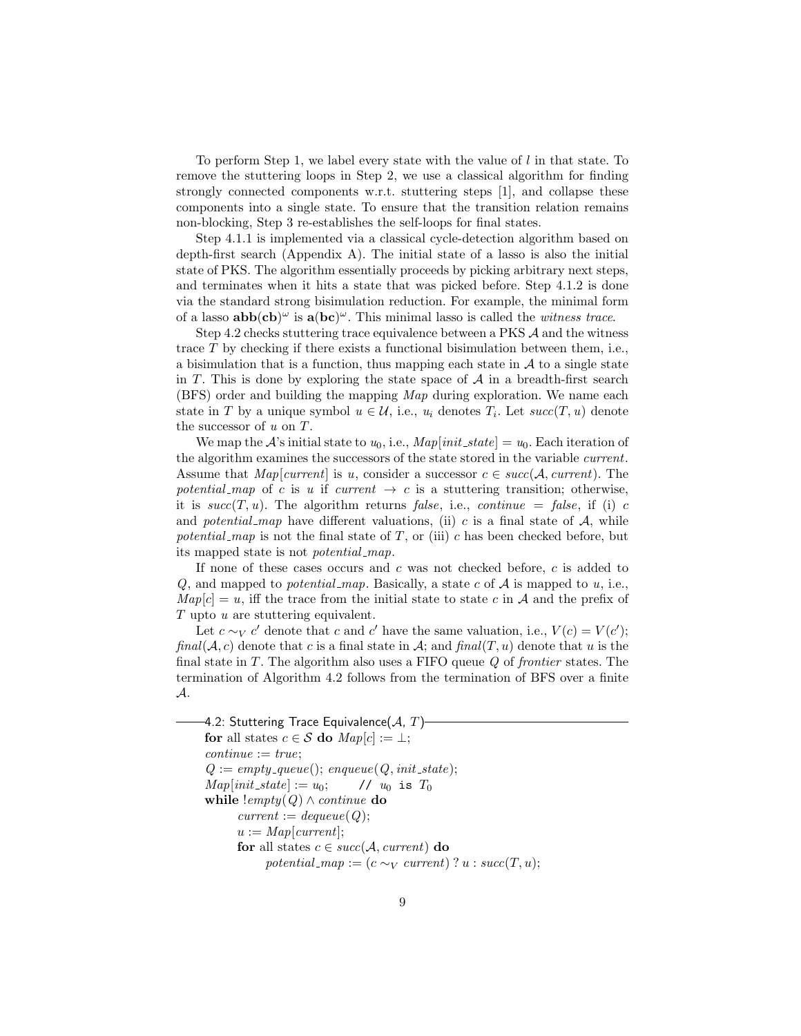To perform Step 1, we label every state with the value of l in that state. To remove the stuttering loops in Step 2, we use a classical algorithm for finding strongly connected components w.r.t. stuttering steps [1], and collapse these components into a single state. To ensure that the transition relation remains non-blocking, Step 3 re-establishes the self-loops for final states.

Step 4.1.1 is implemented via a classical cycle-detection algorithm based on depth-first search (Appendix A). The initial state of a lasso is also the initial state of PKS. The algorithm essentially proceeds by picking arbitrary next steps, and terminates when it hits a state that was picked before. Step 4.1.2 is done via the standard strong bisimulation reduction. For example, the minimal form of a lasso  $abb(cb)^{\omega}$  is  $a(bc)^{\omega}$ . This minimal lasso is called the *witness trace*.

Step 4.2 checks stuttering trace equivalence between a PKS A and the witness trace  $T$  by checking if there exists a functional bisimulation between them, i.e., a bisimulation that is a function, thus mapping each state in  $\mathcal A$  to a single state in T. This is done by exploring the state space of  $A$  in a breadth-first search (BFS) order and building the mapping Map during exploration. We name each state in T by a unique symbol  $u \in \mathcal{U}$ , i.e.,  $u_i$  denotes  $T_i$ . Let  $succ(T, u)$  denote the successor of  $u$  on  $T$ .

We map the  $A$ 's initial state to  $u_0$ , i.e.,  $Map[init\_state] = u_0$ . Each iteration of the algorithm examines the successors of the state stored in the variable current. Assume that  $Map[current]$  is u, consider a successor  $c \in succ(\mathcal{A}, current)$ . The potential map of c is u if current  $\rightarrow$  c is a stuttering transition; otherwise, it is  $succ(T, u)$ . The algorithm returns false, i.e., continue = false, if (i) c and potential map have different valuations, (ii) c is a final state of  $A$ , while potential map is not the final state of  $T$ , or (iii) c has been checked before, but its mapped state is not potential map.

If none of these cases occurs and c was not checked before, c is added to Q, and mapped to *potential map*. Basically, a state c of  $A$  is mapped to u, i.e.,  $Map[c] = u$ , iff the trace from the initial state to state c in A and the prefix of T upto u are stuttering equivalent.

Let  $c \sim_V c'$  denote that c and c' have the same valuation, i.e.,  $V(c) = V(c')$ ; final( $A, c$ ) denote that c is a final state in  $A$ ; and final(T, u) denote that u is the final state in  $T$ . The algorithm also uses a FIFO queue  $Q$  of *frontier* states. The termination of Algorithm 4.2 follows from the termination of BFS over a finite A.

4.2: Stuttering Trace Equivalence( $A, T$ ) for all states  $c \in \mathcal{S}$  do  $Map[c] := \bot;$  $continue := true;$  $Q := empty\_{queue();\;image(Q, init-state);$  $Map[init\_state] := u_0;$  //  $u_0$  is  $T_0$ while  $!empty(Q) \wedge continue$  do  $current :=dequeue(Q);$  $u := Map[current];$ for all states  $c \in succ(\mathcal{A}, current)$  do potential\_map :=  $(c \sim_V current)$  ?  $u : succ(T, u);$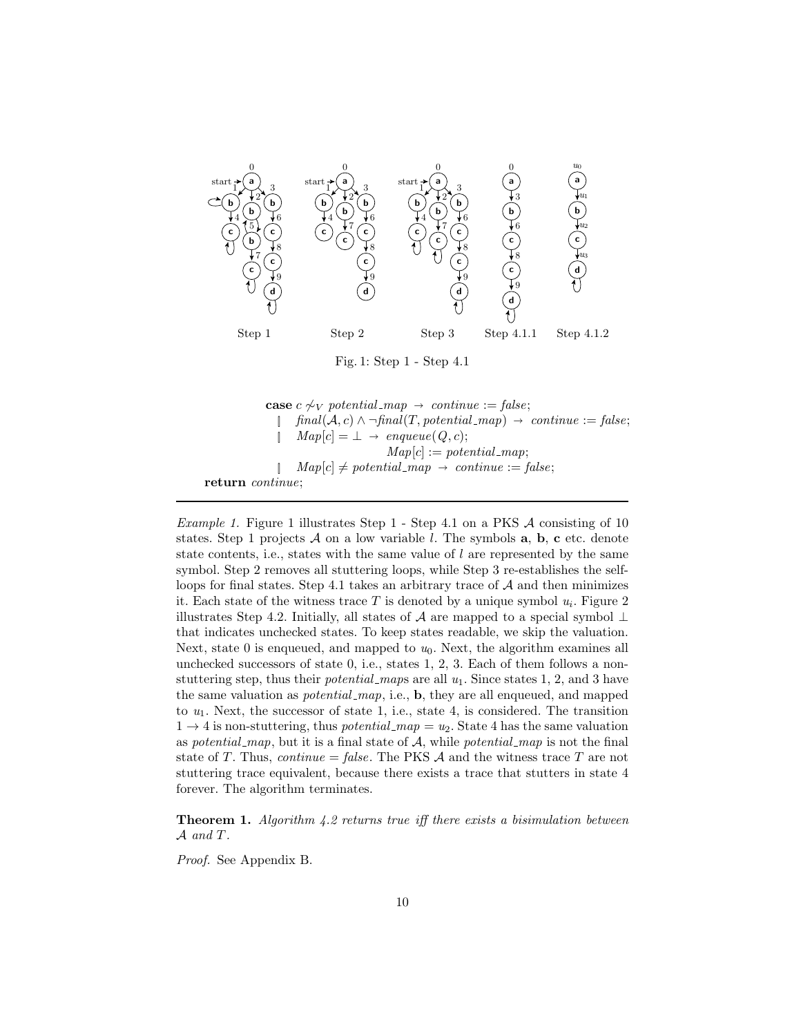

Fig. 1: Step 1 - Step 4.1

case  $c \not\sim_V$  potential\_map  $\rightarrow$  continue := false; [ $[final(A, c) \land \neg final(T, potential\_map) \rightarrow continue := false;$ <br>  $[Map[c] = \bot \rightarrow enqueue(Q, c);$  $Map[c] = \bot \rightarrow \text{e}nqueue(Q, c);$  $Map[c] := potential\_map;$  $Map[c] \neq potential\_map \rightarrow continue := false;$ return continue;

*Example 1.* Figure 1 illustrates Step 1 - Step 4.1 on a PKS  $\mathcal A$  consisting of 10 states. Step 1 projects  $\mathcal A$  on a low variable l. The symbols  $\mathbf a$ ,  $\mathbf b$ ,  $\mathbf c$  etc. denote state contents, i.e., states with the same value of  $l$  are represented by the same symbol. Step 2 removes all stuttering loops, while Step 3 re-establishes the selfloops for final states. Step 4.1 takes an arbitrary trace of  $A$  and then minimizes it. Each state of the witness trace  $T$  is denoted by a unique symbol  $u_i$ . Figure 2 illustrates Step 4.2. Initially, all states of A are mapped to a special symbol  $\perp$ that indicates unchecked states. To keep states readable, we skip the valuation. Next, state 0 is enqueued, and mapped to  $u_0$ . Next, the algorithm examines all unchecked successors of state 0, i.e., states 1, 2, 3. Each of them follows a nonstuttering step, thus their *potential maps* are all  $u_1$ . Since states 1, 2, and 3 have the same valuation as *potential map*, i.e., **b**, they are all enqueued, and mapped to  $u_1$ . Next, the successor of state 1, i.e., state 4, is considered. The transition  $1 \rightarrow 4$  is non-stuttering, thus *potential\_map* =  $u_2$ . State 4 has the same valuation as potential map, but it is a final state of  $A$ , while potential map is not the final state of T. Thus, *continue* = *false*. The PKS  $\mathcal A$  and the witness trace T are not stuttering trace equivalent, because there exists a trace that stutters in state 4 forever. The algorithm terminates.

**Theorem 1.** Algorithm 4.2 returns true iff there exists a bisimulation between A and T.

Proof. See Appendix B.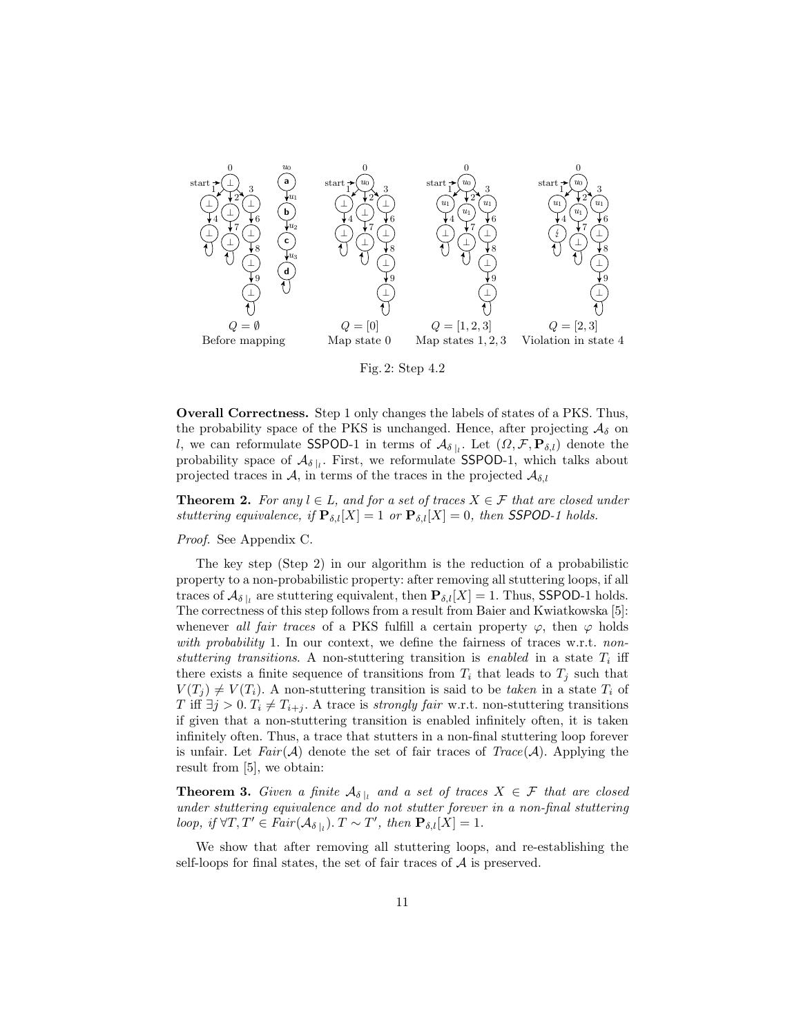

Fig. 2: Step 4.2

Overall Correctness. Step 1 only changes the labels of states of a PKS. Thus, the probability space of the PKS is unchanged. Hence, after projecting  $\mathcal{A}_{\delta}$  on l, we can reformulate SSPOD-1 in terms of  $\mathcal{A}_{\delta}|_{l}$ . Let  $(\Omega, \mathcal{F}, \mathbf{P}_{\delta, l})$  denote the probability space of  $\mathcal{A}_{\delta}|_{l}$ . First, we reformulate SSPOD-1, which talks about projected traces in A, in terms of the traces in the projected  $\mathcal{A}_{\delta,l}$ 

**Theorem 2.** For any  $l \in L$ , and for a set of traces  $X \in \mathcal{F}$  that are closed under stuttering equivalence, if  $\mathbf{P}_{\delta,l}[X] = 1$  or  $\mathbf{P}_{\delta,l}[X] = 0$ , then SSPOD-1 holds.

Proof. See Appendix C.

The key step (Step 2) in our algorithm is the reduction of a probabilistic property to a non-probabilistic property: after removing all stuttering loops, if all traces of  $\mathcal{A}_{\delta}|_l$  are stuttering equivalent, then  $\mathbf{P}_{\delta,l}[X] = 1$ . Thus, SSPOD-1 holds. The correctness of this step follows from a result from Baier and Kwiatkowska [5]: whenever all fair traces of a PKS fulfill a certain property  $\varphi$ , then  $\varphi$  holds with probability 1. In our context, we define the fairness of traces w.r.t. nonstuttering transitions. A non-stuttering transition is enabled in a state  $T_i$  iff there exists a finite sequence of transitions from  $T_i$  that leads to  $T_j$  such that  $V(T_i) \neq V(T_i)$ . A non-stuttering transition is said to be taken in a state  $T_i$  of T iff  $\exists j > 0$ .  $T_i \neq T_{i+j}$ . A trace is *strongly fair* w.r.t. non-stuttering transitions if given that a non-stuttering transition is enabled infinitely often, it is taken infinitely often. Thus, a trace that stutters in a non-final stuttering loop forever is unfair. Let  $Fair(\mathcal{A})$  denote the set of fair traces of  $Trace(\mathcal{A})$ . Applying the result from [5], we obtain:

**Theorem 3.** Given a finite  $A_{\delta\parallel}$  and a set of traces  $X \in \mathcal{F}$  that are closed under stuttering equivalence and do not stutter forever in a non-final stuttering loop, if  $\forall T, T' \in Fair(\mathcal{A}_{\delta}|_{l}).$   $T \sim T'$ , then  $\mathbf{P}_{\delta,l}[X] = 1$ .

We show that after removing all stuttering loops, and re-establishing the self-loops for final states, the set of fair traces of  $A$  is preserved.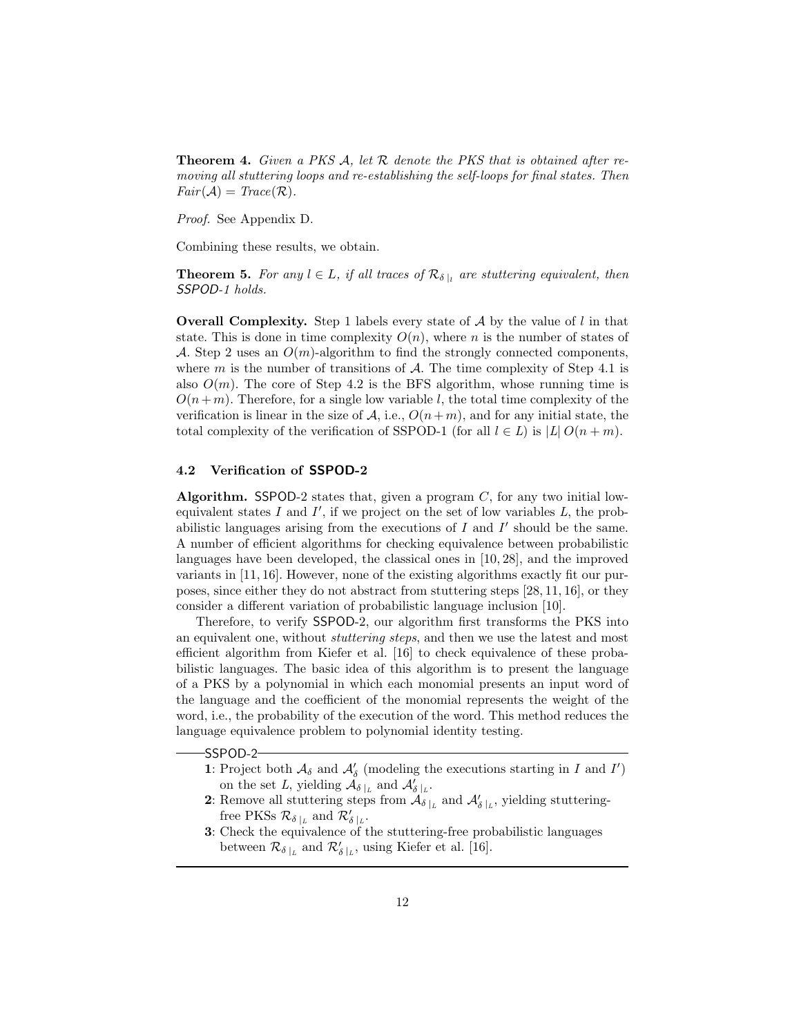**Theorem 4.** Given a PKS  $\mathcal{A}$ , let  $\mathcal{R}$  denote the PKS that is obtained after removing all stuttering loops and re-establishing the self-loops for final states. Then  $Fair(\mathcal{A}) = Trace(\mathcal{R}).$ 

Proof. See Appendix D.

Combining these results, we obtain.

**Theorem 5.** For any  $l \in L$ , if all traces of  $\mathcal{R}_{\delta|l}$  are stuttering equivalent, then SSPOD-1 holds.

**Overall Complexity.** Step 1 labels every state of  $A$  by the value of  $l$  in that state. This is done in time complexity  $O(n)$ , where n is the number of states of A. Step 2 uses an  $O(m)$ -algorithm to find the strongly connected components, where  $m$  is the number of transitions of  $A$ . The time complexity of Step 4.1 is also  $O(m)$ . The core of Step 4.2 is the BFS algorithm, whose running time is  $O(n+m)$ . Therefore, for a single low variable l, the total time complexity of the verification is linear in the size of A, i.e.,  $O(n+m)$ , and for any initial state, the total complexity of the verification of SSPOD-1 (for all  $l \in L$ ) is  $|L| O(n + m)$ .

#### 4.2 Verification of SSPOD-2

**Algorithm.** SSPOD-2 states that, given a program  $C$ , for any two initial lowequivalent states  $I$  and  $I'$ , if we project on the set of low variables  $L$ , the probabilistic languages arising from the executions of  $I$  and  $I'$  should be the same. A number of efficient algorithms for checking equivalence between probabilistic languages have been developed, the classical ones in [10, 28], and the improved variants in [11, 16]. However, none of the existing algorithms exactly fit our purposes, since either they do not abstract from stuttering steps [28, 11, 16], or they consider a different variation of probabilistic language inclusion [10].

Therefore, to verify SSPOD-2, our algorithm first transforms the PKS into an equivalent one, without stuttering steps, and then we use the latest and most efficient algorithm from Kiefer et al. [16] to check equivalence of these probabilistic languages. The basic idea of this algorithm is to present the language of a PKS by a polynomial in which each monomial presents an input word of the language and the coefficient of the monomial represents the weight of the word, i.e., the probability of the execution of the word. This method reduces the language equivalence problem to polynomial identity testing.

-SSPOD-2-

- 1: Project both  $\mathcal{A}_{\delta}$  and  $\mathcal{A}'_{\delta}$  (modeling the executions starting in  $I$  and  $I'$ ) on the set L, yielding  $\overline{\mathcal{A}}_{\delta}|_L$  and  $\mathcal{A}'_{\delta}|_L$ .
- 2: Remove all stuttering steps from  $\mathcal{A}_{\delta}|_L$  and  $\mathcal{A}'_{\delta}|_L$ , yielding stutteringfree PKSs  $\mathcal{R}_{\delta|_L}$  and  $\mathcal{R}'_{\delta|_L}$ .
- 3: Check the equivalence of the stuttering-free probabilistic languages between  $\mathcal{R}_{\delta|_L}$  and  $\mathcal{R}'_{\delta|_L}$ , using Kiefer et al. [16].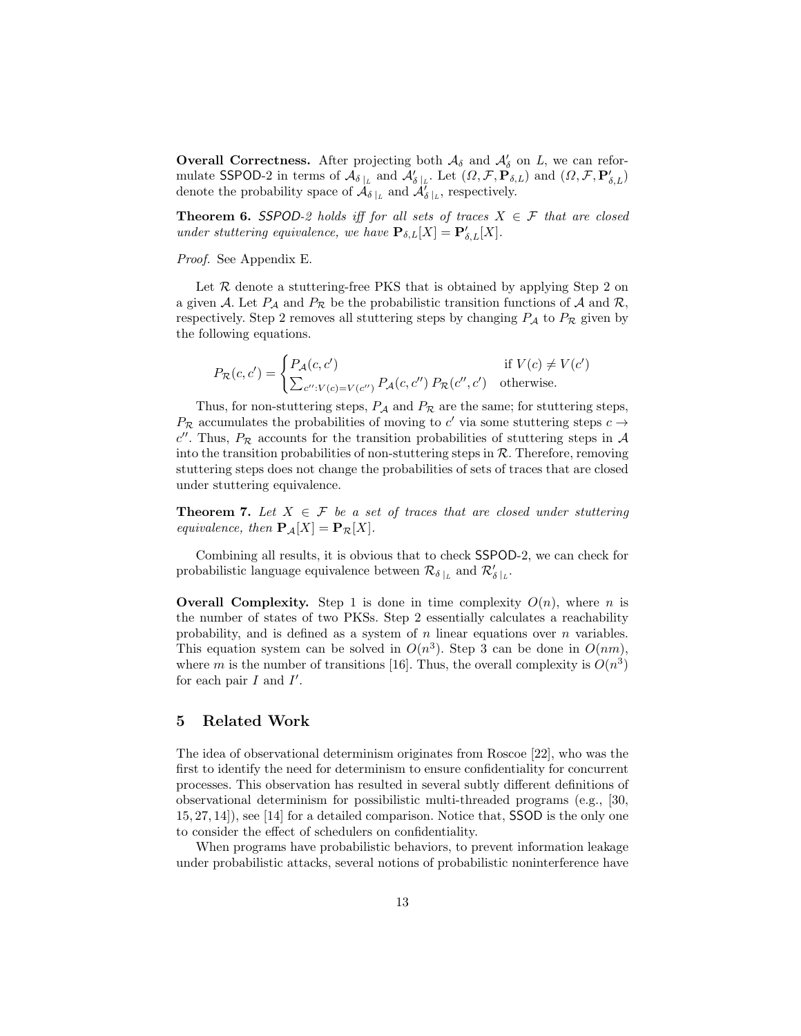**Overall Correctness.** After projecting both  $A_{\delta}$  and  $A'_{\delta}$  on L, we can reformulate SSPOD-2 in terms of  $\mathcal{A}_{\delta\,|_L}$  and  $\mathcal{A}'_{\delta\,|_L}$ . Let  $(\Omega, \mathcal{F}, \mathbf{P}_{\delta, L})$  and  $(\Omega, \mathcal{F}, \mathbf{P}'_{\delta, L})$ denote the probability space of  $\mathcal{A}_{\delta|_L}$  and  $\mathcal{A}_{\delta|_L}^{\tau}$ , respectively.

**Theorem 6.** SSPOD-2 holds iff for all sets of traces  $X \in \mathcal{F}$  that are closed under stuttering equivalence, we have  $\mathbf{P}_{\delta,L}[X] = \mathbf{P}'_{\delta,L}[X]$ .

Proof. See Appendix E.

Let  $R$  denote a stuttering-free PKS that is obtained by applying Step 2 on a given A. Let  $P_A$  and  $P_{\mathcal{R}}$  be the probabilistic transition functions of A and  $\mathcal{R}$ , respectively. Step 2 removes all stuttering steps by changing  $P_A$  to  $P_{\mathcal{R}}$  given by the following equations.

$$
P_{\mathcal{R}}(c, c') = \begin{cases} P_{\mathcal{A}}(c, c') & \text{if } V(c) \neq V(c')\\ \sum_{c'': V(c) = V(c'')} P_{\mathcal{A}}(c, c'') & \text{otherwise.} \end{cases}
$$

Thus, for non-stuttering steps,  $P_A$  and  $P_R$  are the same; for stuttering steps,  $P_{\mathcal{R}}$  accumulates the probabilities of moving to c' via some stuttering steps  $c \rightarrow$  $c''$ . Thus,  $P_{\mathcal{R}}$  accounts for the transition probabilities of stuttering steps in A into the transition probabilities of non-stuttering steps in  $\mathcal{R}$ . Therefore, removing stuttering steps does not change the probabilities of sets of traces that are closed under stuttering equivalence.

**Theorem 7.** Let  $X \in \mathcal{F}$  be a set of traces that are closed under stuttering equivalence, then  $\mathbf{P}_A[X] = \mathbf{P}_B[X]$ .

Combining all results, it is obvious that to check SSPOD-2, we can check for probabilistic language equivalence between  $\mathcal{R}_{\delta|_L}$  and  $\mathcal{R}'_{\delta|_L}$ .

**Overall Complexity.** Step 1 is done in time complexity  $O(n)$ , where n is the number of states of two PKSs. Step 2 essentially calculates a reachability probability, and is defined as a system of  $n$  linear equations over  $n$  variables. This equation system can be solved in  $O(n^3)$ . Step 3 can be done in  $O(nm)$ , where m is the number of transitions [16]. Thus, the overall complexity is  $O(n^3)$ for each pair  $I$  and  $I'$ .

## 5 Related Work

The idea of observational determinism originates from Roscoe [22], who was the first to identify the need for determinism to ensure confidentiality for concurrent processes. This observation has resulted in several subtly different definitions of observational determinism for possibilistic multi-threaded programs (e.g., [30, 15, 27, 14]), see [14] for a detailed comparison. Notice that, SSOD is the only one to consider the effect of schedulers on confidentiality.

When programs have probabilistic behaviors, to prevent information leakage under probabilistic attacks, several notions of probabilistic noninterference have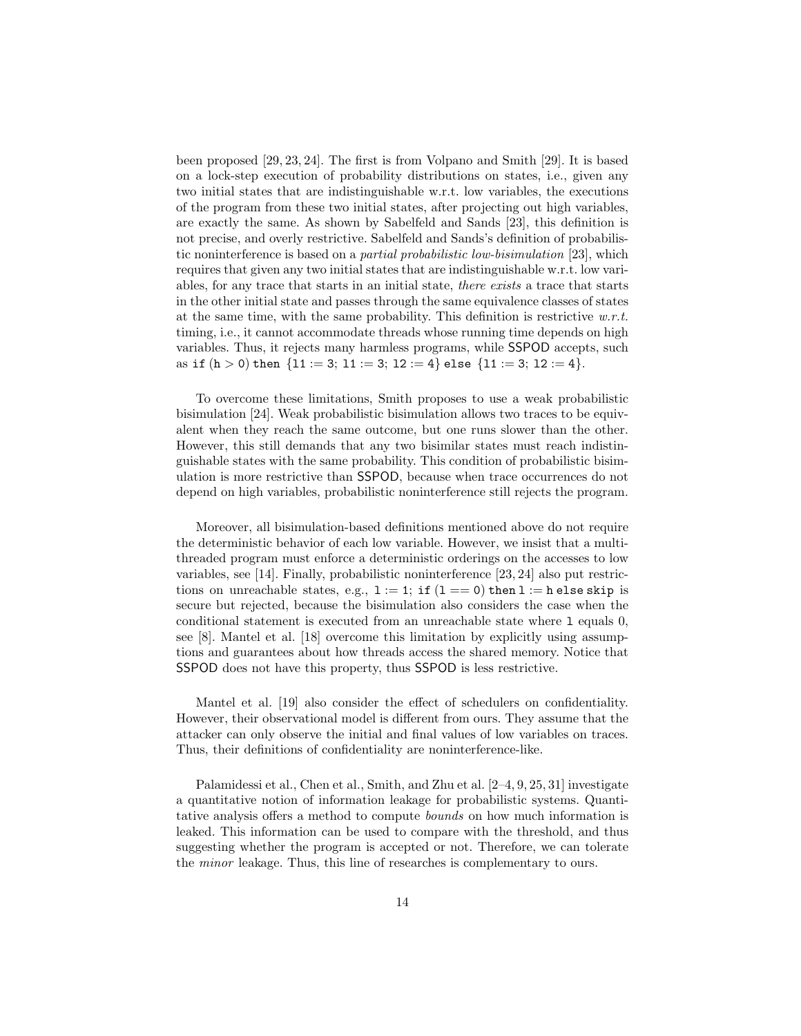been proposed [29, 23, 24]. The first is from Volpano and Smith [29]. It is based on a lock-step execution of probability distributions on states, i.e., given any two initial states that are indistinguishable w.r.t. low variables, the executions of the program from these two initial states, after projecting out high variables, are exactly the same. As shown by Sabelfeld and Sands [23], this definition is not precise, and overly restrictive. Sabelfeld and Sands's definition of probabilistic noninterference is based on a partial probabilistic low-bisimulation [23], which requires that given any two initial states that are indistinguishable w.r.t. low variables, for any trace that starts in an initial state, there exists a trace that starts in the other initial state and passes through the same equivalence classes of states at the same time, with the same probability. This definition is restrictive  $w.r.t.$ timing, i.e., it cannot accommodate threads whose running time depends on high variables. Thus, it rejects many harmless programs, while SSPOD accepts, such as if  $(h > 0)$  then  $\{11 := 3; 11 := 3; 12 := 4\}$  else  $\{11 := 3; 12 := 4\}$ .

To overcome these limitations, Smith proposes to use a weak probabilistic bisimulation [24]. Weak probabilistic bisimulation allows two traces to be equivalent when they reach the same outcome, but one runs slower than the other. However, this still demands that any two bisimilar states must reach indistinguishable states with the same probability. This condition of probabilistic bisimulation is more restrictive than SSPOD, because when trace occurrences do not depend on high variables, probabilistic noninterference still rejects the program.

Moreover, all bisimulation-based definitions mentioned above do not require the deterministic behavior of each low variable. However, we insist that a multithreaded program must enforce a deterministic orderings on the accesses to low variables, see [14]. Finally, probabilistic noninterference [23, 24] also put restrictions on unreachable states, e.g.,  $1 := 1$ ; if  $(1 == 0)$  then  $1 := h$  else skip is secure but rejected, because the bisimulation also considers the case when the conditional statement is executed from an unreachable state where l equals 0, see [8]. Mantel et al. [18] overcome this limitation by explicitly using assumptions and guarantees about how threads access the shared memory. Notice that SSPOD does not have this property, thus SSPOD is less restrictive.

Mantel et al. [19] also consider the effect of schedulers on confidentiality. However, their observational model is different from ours. They assume that the attacker can only observe the initial and final values of low variables on traces. Thus, their definitions of confidentiality are noninterference-like.

Palamidessi et al., Chen et al., Smith, and Zhu et al. [2–4, 9, 25, 31] investigate a quantitative notion of information leakage for probabilistic systems. Quantitative analysis offers a method to compute bounds on how much information is leaked. This information can be used to compare with the threshold, and thus suggesting whether the program is accepted or not. Therefore, we can tolerate the minor leakage. Thus, this line of researches is complementary to ours.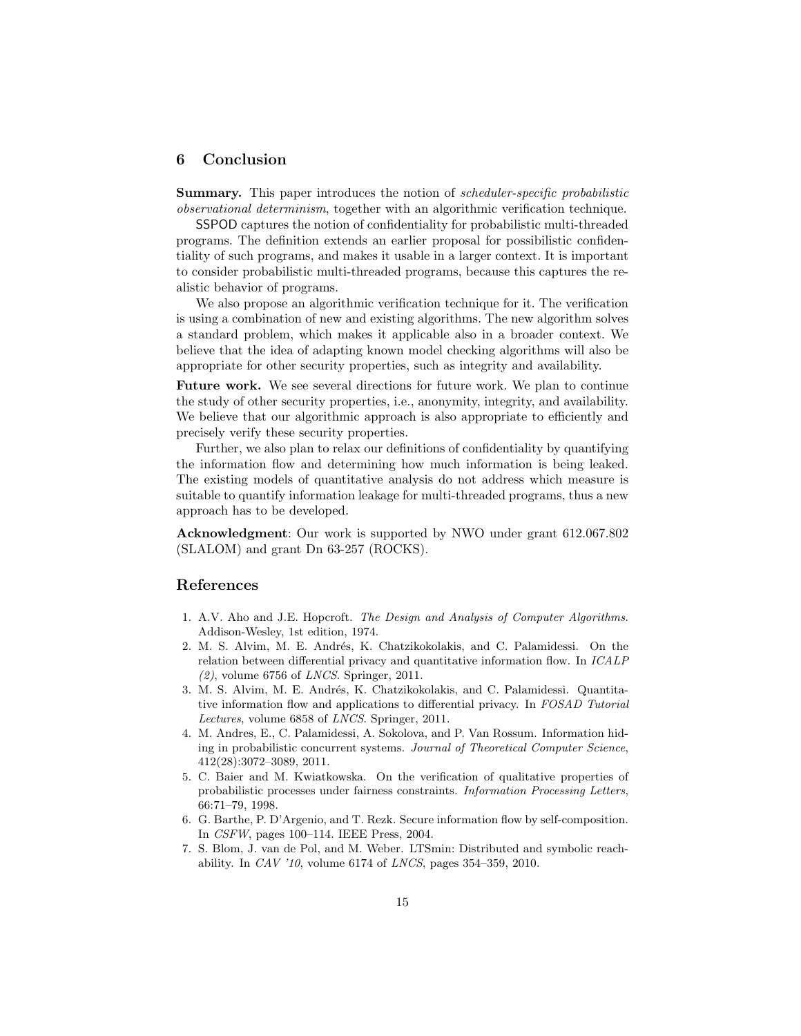## 6 Conclusion

**Summary.** This paper introduces the notion of *scheduler-specific probabilistic* observational determinism, together with an algorithmic verification technique.

SSPOD captures the notion of confidentiality for probabilistic multi-threaded programs. The definition extends an earlier proposal for possibilistic confidentiality of such programs, and makes it usable in a larger context. It is important to consider probabilistic multi-threaded programs, because this captures the realistic behavior of programs.

We also propose an algorithmic verification technique for it. The verification is using a combination of new and existing algorithms. The new algorithm solves a standard problem, which makes it applicable also in a broader context. We believe that the idea of adapting known model checking algorithms will also be appropriate for other security properties, such as integrity and availability.

Future work. We see several directions for future work. We plan to continue the study of other security properties, i.e., anonymity, integrity, and availability. We believe that our algorithmic approach is also appropriate to efficiently and precisely verify these security properties.

Further, we also plan to relax our definitions of confidentiality by quantifying the information flow and determining how much information is being leaked. The existing models of quantitative analysis do not address which measure is suitable to quantify information leakage for multi-threaded programs, thus a new approach has to be developed.

Acknowledgment: Our work is supported by NWO under grant 612.067.802 (SLALOM) and grant Dn 63-257 (ROCKS).

## References

- 1. A.V. Aho and J.E. Hopcroft. The Design and Analysis of Computer Algorithms. Addison-Wesley, 1st edition, 1974.
- 2. M. S. Alvim, M. E. Andrés, K. Chatzikokolakis, and C. Palamidessi. On the relation between differential privacy and quantitative information flow. In ICALP  $(2)$ , volume 6756 of *LNCS*. Springer, 2011.
- 3. M. S. Alvim, M. E. Andrés, K. Chatzikokolakis, and C. Palamidessi. Quantitative information flow and applications to differential privacy. In FOSAD Tutorial Lectures, volume 6858 of LNCS. Springer, 2011.
- 4. M. Andres, E., C. Palamidessi, A. Sokolova, and P. Van Rossum. Information hiding in probabilistic concurrent systems. Journal of Theoretical Computer Science, 412(28):3072–3089, 2011.
- 5. C. Baier and M. Kwiatkowska. On the verification of qualitative properties of probabilistic processes under fairness constraints. Information Processing Letters, 66:71–79, 1998.
- 6. G. Barthe, P. D'Argenio, and T. Rezk. Secure information flow by self-composition. In CSFW, pages 100–114. IEEE Press, 2004.
- 7. S. Blom, J. van de Pol, and M. Weber. LTSmin: Distributed and symbolic reachability. In CAV '10, volume 6174 of LNCS, pages  $354-359$ , 2010.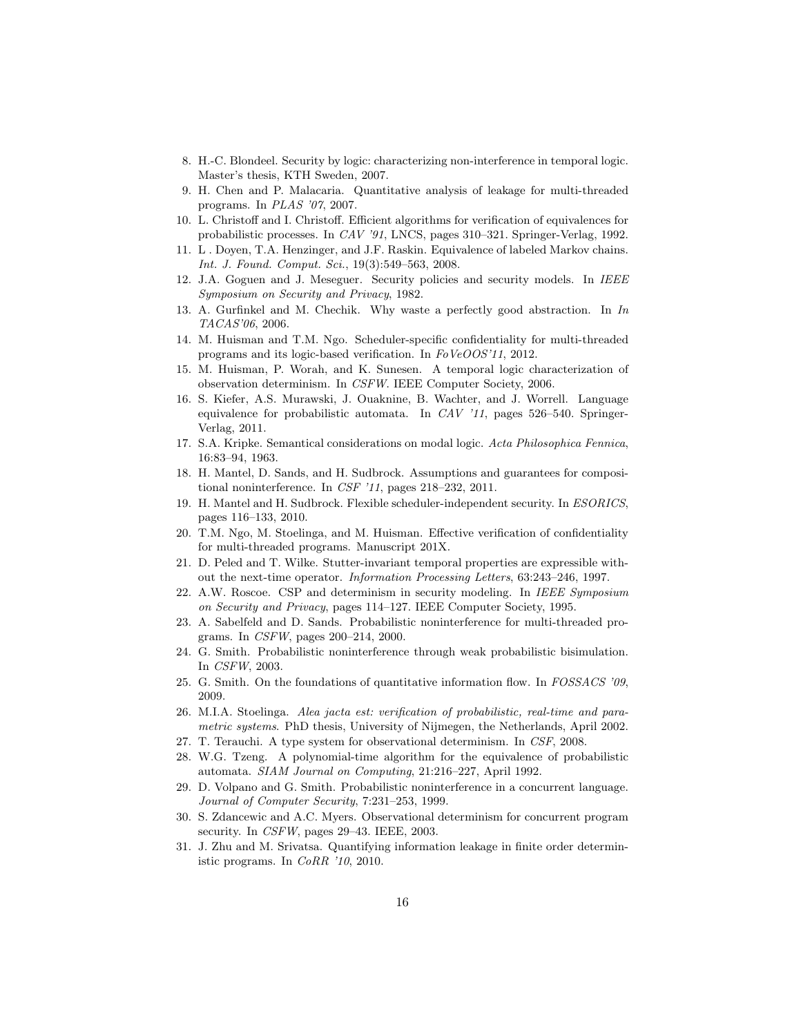- 8. H.-C. Blondeel. Security by logic: characterizing non-interference in temporal logic. Master's thesis, KTH Sweden, 2007.
- 9. H. Chen and P. Malacaria. Quantitative analysis of leakage for multi-threaded programs. In PLAS '07, 2007.
- 10. L. Christoff and I. Christoff. Efficient algorithms for verification of equivalences for probabilistic processes. In CAV '91, LNCS, pages 310–321. Springer-Verlag, 1992.
- 11. L . Doyen, T.A. Henzinger, and J.F. Raskin. Equivalence of labeled Markov chains. Int. J. Found. Comput. Sci., 19(3):549–563, 2008.
- 12. J.A. Goguen and J. Meseguer. Security policies and security models. In IEEE Symposium on Security and Privacy, 1982.
- 13. A. Gurfinkel and M. Chechik. Why waste a perfectly good abstraction. In  $In$ TACAS'06, 2006.
- 14. M. Huisman and T.M. Ngo. Scheduler-specific confidentiality for multi-threaded programs and its logic-based verification. In FoVeOOS'11, 2012.
- 15. M. Huisman, P. Worah, and K. Sunesen. A temporal logic characterization of observation determinism. In CSFW. IEEE Computer Society, 2006.
- 16. S. Kiefer, A.S. Murawski, J. Ouaknine, B. Wachter, and J. Worrell. Language equivalence for probabilistic automata. In  $CAV$  '11, pages 526–540. Springer-Verlag, 2011.
- 17. S.A. Kripke. Semantical considerations on modal logic. Acta Philosophica Fennica, 16:83–94, 1963.
- 18. H. Mantel, D. Sands, and H. Sudbrock. Assumptions and guarantees for compositional noninterference. In CSF '11, pages 218–232, 2011.
- 19. H. Mantel and H. Sudbrock. Flexible scheduler-independent security. In ESORICS, pages 116–133, 2010.
- 20. T.M. Ngo, M. Stoelinga, and M. Huisman. Effective verification of confidentiality for multi-threaded programs. Manuscript 201X.
- 21. D. Peled and T. Wilke. Stutter-invariant temporal properties are expressible without the next-time operator. Information Processing Letters, 63:243–246, 1997.
- 22. A.W. Roscoe. CSP and determinism in security modeling. In IEEE Symposium on Security and Privacy, pages 114–127. IEEE Computer Society, 1995.
- 23. A. Sabelfeld and D. Sands. Probabilistic noninterference for multi-threaded programs. In CSFW, pages 200–214, 2000.
- 24. G. Smith. Probabilistic noninterference through weak probabilistic bisimulation. In CSFW, 2003.
- 25. G. Smith. On the foundations of quantitative information flow. In FOSSACS '09, 2009.
- 26. M.I.A. Stoelinga. Alea jacta est: verification of probabilistic, real-time and parametric systems. PhD thesis, University of Nijmegen, the Netherlands, April 2002.
- 27. T. Terauchi. A type system for observational determinism. In CSF, 2008.
- 28. W.G. Tzeng. A polynomial-time algorithm for the equivalence of probabilistic automata. SIAM Journal on Computing, 21:216–227, April 1992.
- 29. D. Volpano and G. Smith. Probabilistic noninterference in a concurrent language. Journal of Computer Security, 7:231–253, 1999.
- 30. S. Zdancewic and A.C. Myers. Observational determinism for concurrent program security. In *CSFW*, pages 29-43. IEEE, 2003.
- 31. J. Zhu and M. Srivatsa. Quantifying information leakage in finite order deterministic programs. In  $CoRR$  '10, 2010.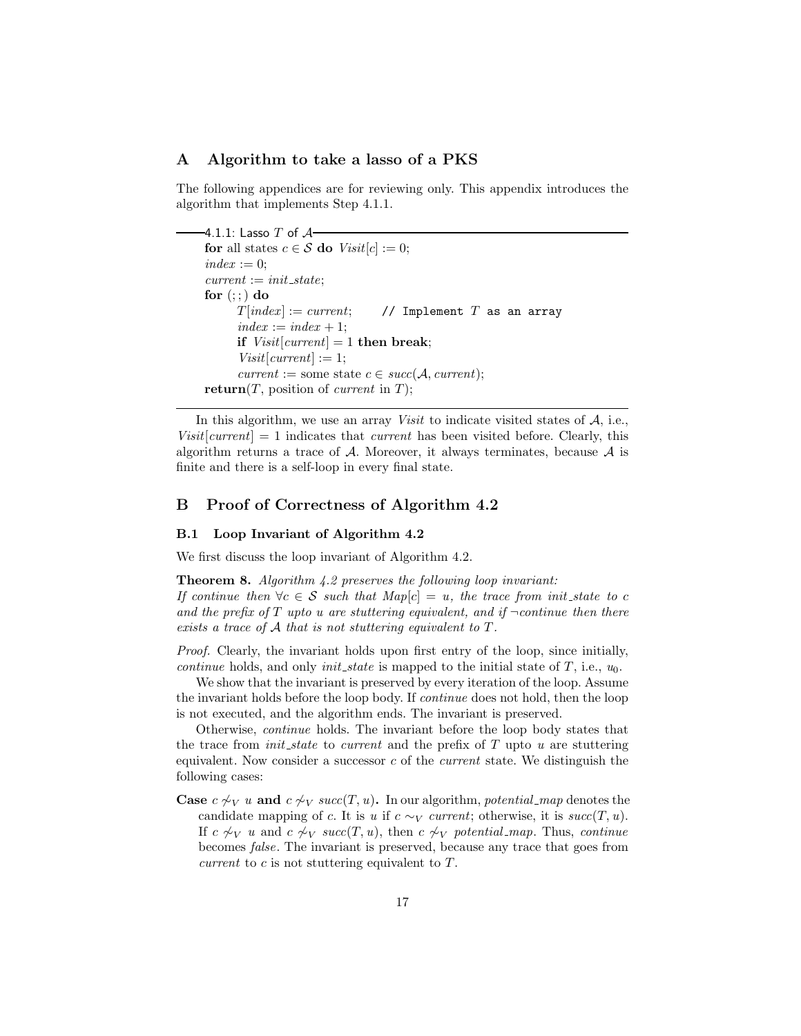## A Algorithm to take a lasso of a PKS

The following appendices are for reviewing only. This appendix introduces the algorithm that implements Step 4.1.1.

-4.1.1: Lasso  $T$  of  $\mathcal{A}$ for all states  $c \in \mathcal{S}$  do  $Visit[c] := 0;$  $index := 0;$  $current := init\_state;$ for  $(:)$  do  $T[index] := current;$  // Implement  $T$  as an array  $index := index + 1;$ if  $Visit[current] = 1$  then break;  $Visit[current] := 1;$ current := some state  $c \in succ(\mathcal{A}, current);$ return(T, position of *current* in T);

In this algorithm, we use an array *Visit* to indicate visited states of  $A$ , i.e.,  $Visit|current| = 1$  indicates that *current* has been visited before. Clearly, this algorithm returns a trace of  $A$ . Moreover, it always terminates, because  $A$  is finite and there is a self-loop in every final state.

## B Proof of Correctness of Algorithm 4.2

#### B.1 Loop Invariant of Algorithm 4.2

We first discuss the loop invariant of Algorithm 4.2.

Theorem 8. Algorithm 4.2 preserves the following loop invariant: If continue then  $\forall c \in S$  such that  $Map[c] = u$ , the trace from init\_state to c and the prefix of T upto u are stuttering equivalent, and if  $\neg$  continue then there exists a trace of A that is not stuttering equivalent to T.

Proof. Clearly, the invariant holds upon first entry of the loop, since initially, *continue* holds, and only *init\_state* is mapped to the initial state of  $T$ , i.e.,  $u_0$ .

We show that the invariant is preserved by every iteration of the loop. Assume the invariant holds before the loop body. If continue does not hold, then the loop is not executed, and the algorithm ends. The invariant is preserved.

Otherwise, continue holds. The invariant before the loop body states that the trace from *init\_state* to *current* and the prefix of  $T$  upto  $u$  are stuttering equivalent. Now consider a successor c of the *current* state. We distinguish the following cases:

Case  $c \not\sim_V u$  and  $c \not\sim_V succ(T, u)$ . In our algorithm, potential map denotes the candidate mapping of c. It is u if  $c \sim_V current$ ; otherwise, it is  $succ(T, u)$ . If c  $\forall V$  u and c  $\forall V$  succ(T, u), then c  $\forall V$  potential map. Thus, continue becomes false. The invariant is preserved, because any trace that goes from *current* to  $c$  is not stuttering equivalent to  $T$ .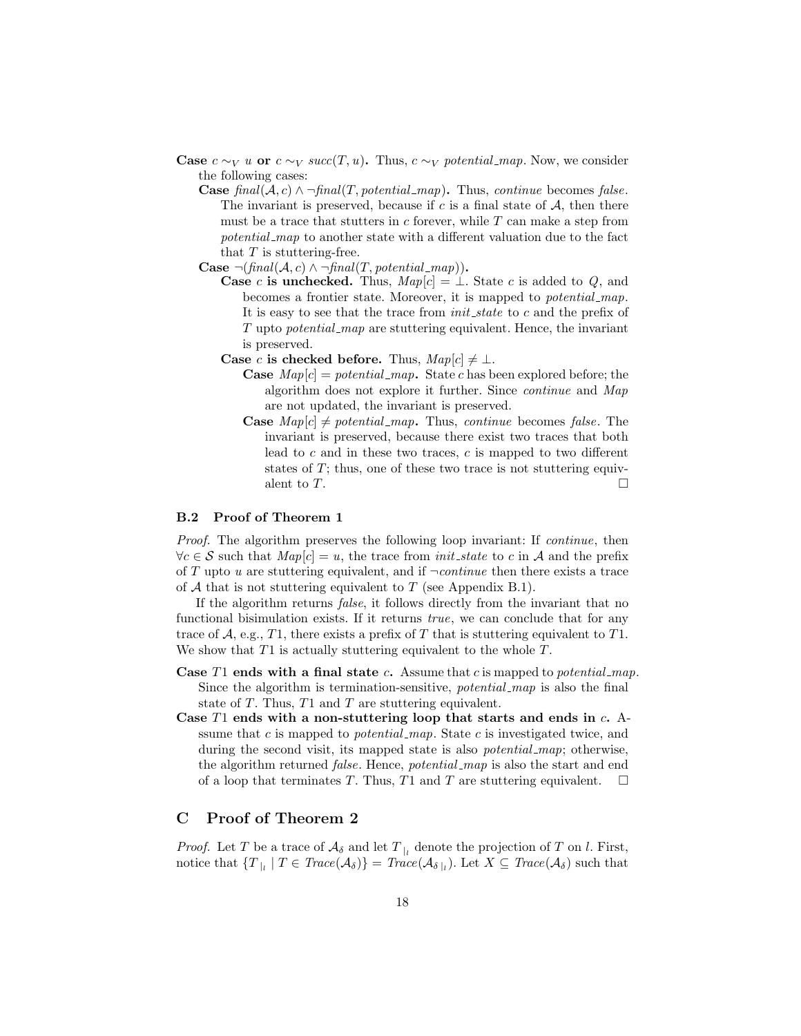- **Case**  $c \sim_V u$  or  $c \sim_V succ(T, u)$ . Thus,  $c \sim_V potential\_map$ . Now, we consider the following cases:
	- **Case**  $final(A, c) \land \neg final(T, potential\_map)$ . Thus, *continue* becomes *false*. The invariant is preserved, because if c is a final state of  $A$ , then there must be a trace that stutters in  $c$  forever, while  $T$  can make a step from potential map to another state with a different valuation due to the fact that  $T$  is stuttering-free.
	- Case  $\neg(\text{final}(\mathcal{A}, c) \land \neg \text{final}(T, \text{potential\_map})).$ 
		- **Case** c is unchecked. Thus,  $Map[c] = \bot$ . State c is added to Q, and becomes a frontier state. Moreover, it is mapped to *potential\_map*. It is easy to see that the trace from *init\_state* to c and the prefix of T upto *potential\_map* are stuttering equivalent. Hence, the invariant is preserved.
			- Case c is checked before. Thus,  $Map[c] \neq \bot$ .
				- **Case**  $Map[c] = potential\_map$ . State c has been explored before; the algorithm does not explore it further. Since continue and Map are not updated, the invariant is preserved.
				- **Case**  $Map[c] \neq potential\_map$ . Thus, *continue* becomes *false*. The invariant is preserved, because there exist two traces that both lead to c and in these two traces, c is mapped to two different states of  $T$ ; thus, one of these two trace is not stuttering equivalent to  $T$ .

### B.2 Proof of Theorem 1

Proof. The algorithm preserves the following loop invariant: If continue, then  $\forall c \in S$  such that  $Map[c] = u$ , the trace from *init\_state* to c in A and the prefix of T upto u are stuttering equivalent, and if  $\neg continue$  then there exists a trace of A that is not stuttering equivalent to T (see Appendix B.1).

If the algorithm returns false, it follows directly from the invariant that no functional bisimulation exists. If it returns true, we can conclude that for any trace of A, e.g., T1, there exists a prefix of T that is stuttering equivalent to T1. We show that T1 is actually stuttering equivalent to the whole T.

- **Case** T1 ends with a final state c. Assume that c is mapped to *potential map*. Since the algorithm is termination-sensitive, *potential\_map* is also the final state of  $T$ . Thus,  $T1$  and  $T$  are stuttering equivalent.
- Case  $T1$  ends with a non-stuttering loop that starts and ends in  $c$ . Assume that c is mapped to *potential map*. State c is investigated twice, and during the second visit, its mapped state is also *potential\_map*; otherwise, the algorithm returned *false*. Hence, *potential\_map* is also the start and end of a loop that terminates T. Thus, T1 and T are stuttering equivalent.  $\square$

# C Proof of Theorem 2

*Proof.* Let T be a trace of  $\mathcal{A}_{\delta}$  and let  $T_{|l}$  denote the projection of T on l. First, notice that  $\{T_{\vert_l}\mid T\in Trace(\mathcal{A}_{\delta})\}=Trace(\mathcal{A}_{\delta\vert_l})$ . Let  $X\subseteq Trace(\mathcal{A}_{\delta})$  such that